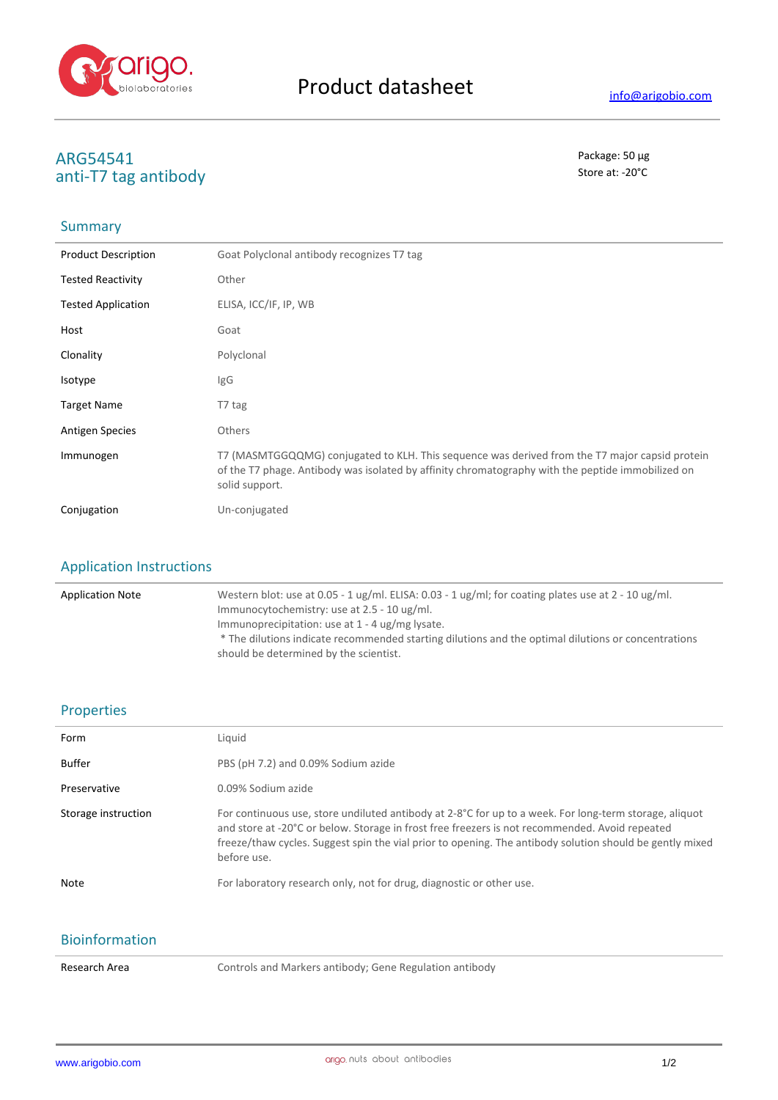

# **ARG54541** Package: 50 μg<br>
anti-T7 tag antihody anti-T7 tag antibody

## Summary

| <b>Product Description</b> | Goat Polyclonal antibody recognizes T7 tag                                                                                                                                                                            |
|----------------------------|-----------------------------------------------------------------------------------------------------------------------------------------------------------------------------------------------------------------------|
| <b>Tested Reactivity</b>   | Other                                                                                                                                                                                                                 |
| <b>Tested Application</b>  | ELISA, ICC/IF, IP, WB                                                                                                                                                                                                 |
| Host                       | Goat                                                                                                                                                                                                                  |
| Clonality                  | Polyclonal                                                                                                                                                                                                            |
| Isotype                    | IgG                                                                                                                                                                                                                   |
| <b>Target Name</b>         | T7 tag                                                                                                                                                                                                                |
| <b>Antigen Species</b>     | Others                                                                                                                                                                                                                |
| Immunogen                  | T7 (MASMTGGQQMG) conjugated to KLH. This sequence was derived from the T7 major capsid protein<br>of the T7 phage. Antibody was isolated by affinity chromatography with the peptide immobilized on<br>solid support. |
| Conjugation                | Un-conjugated                                                                                                                                                                                                         |

# Application Instructions

| <b>Application Note</b> | Western blot: use at 0.05 - 1 ug/ml. ELISA: $0.03 - 1$ ug/ml; for coating plates use at 2 - 10 ug/ml.<br>Immunocytochemistry: use at 2.5 - 10 ug/ml.                                               |
|-------------------------|----------------------------------------------------------------------------------------------------------------------------------------------------------------------------------------------------|
|                         | Immunoprecipitation: use at $1 - 4$ ug/mg lysate.<br>* The dilutions indicate recommended starting dilutions and the optimal dilutions or concentrations<br>should be determined by the scientist. |

#### Properties

| Form                  | Liquid                                                                                                                                                                                                                                                                                                                              |
|-----------------------|-------------------------------------------------------------------------------------------------------------------------------------------------------------------------------------------------------------------------------------------------------------------------------------------------------------------------------------|
| <b>Buffer</b>         | PBS (pH 7.2) and 0.09% Sodium azide                                                                                                                                                                                                                                                                                                 |
| Preservative          | 0.09% Sodium azide                                                                                                                                                                                                                                                                                                                  |
| Storage instruction   | For continuous use, store undiluted antibody at 2-8°C for up to a week. For long-term storage, aliquot<br>and store at -20°C or below. Storage in frost free freezers is not recommended. Avoid repeated<br>freeze/thaw cycles. Suggest spin the vial prior to opening. The antibody solution should be gently mixed<br>before use. |
| <b>Note</b>           | For laboratory research only, not for drug, diagnostic or other use.                                                                                                                                                                                                                                                                |
| <b>Bioinformation</b> |                                                                                                                                                                                                                                                                                                                                     |

Research Area **Controls and Markers antibody**; Gene Regulation antibody